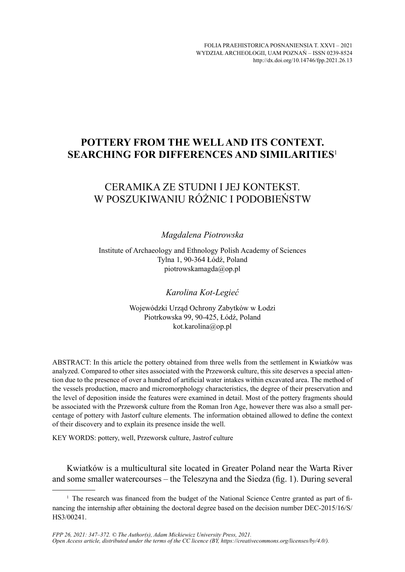# **POTTERY FROM THE WELL AND ITS CONTEXT. SEARCHING FOR DIFFERENCES AND SIMILARITIES**<sup>1</sup>

# CERAMIKA ZE STUDNI I JEJ KONTEKST. W POSZUKIWANIU RÓŻNIC I PODOBIEŃSTW

### *Magdalena Piotrowska*

Institute of Archaeology and Ethnology Polish Academy of Sciences Tylna 1, 90-364 Łódź, Poland piotrowskamagda@op.pl

## *Karolina Kot-Legieć*

Wojewódzki Urząd Ochrony Zabytków w Łodzi Piotrkowska 99, 90-425, Łódź, Poland kot.karolina@op.pl

ABSTRACT: In this article the pottery obtained from three wells from the settlement in Kwiatków was analyzed. Compared to other sites associated with the Przeworsk culture, this site deserves a special attention due to the presence of over a hundred of artificial water intakes within excavated area. The method of the vessels production, macro and micromorphology characteristics, the degree of their preservation and the level of deposition inside the features were examined in detail. Most of the pottery fragments should be associated with the Przeworsk culture from the Roman Iron Age, however there was also a small percentage of pottery with Jastorf culture elements. The information obtained allowed to define the context of their discovery and to explain its presence inside the well.

KEY WORDS: pottery, well, Przeworsk culture, Jastrof culture

Kwiatków is a multicultural site located in Greater Poland near the Warta River and some smaller watercourses – the Teleszyna and the Siedza (fig. 1). During several

<sup>&</sup>lt;sup>1</sup> The research was financed from the budget of the National Science Centre granted as part of financing the internship after obtaining the doctoral degree based on the decision number DEC-2015/16/S/ HS3/00241.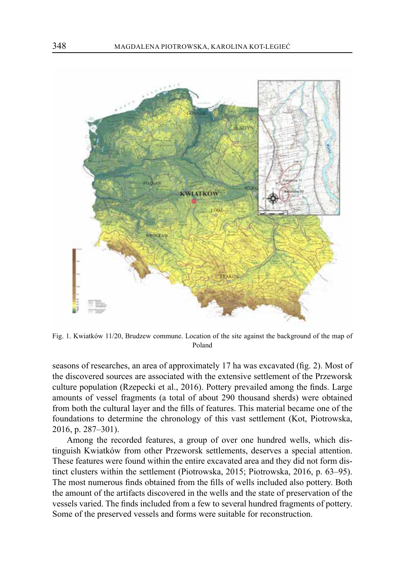

Fig. 1. Kwiatków 11/20, Brudzew commune. Location of the site against the background of the map of Poland

seasons of researches, an area of approximately 17 ha was excavated (fig. 2). Most of the discovered sources are associated with the extensive settlement of the Przeworsk culture population (Rzepecki et al., 2016). Pottery prevailed among the finds. Large amounts of vessel fragments (a total of about 290 thousand sherds) were obtained from both the cultural layer and the fills of features. This material became one of the foundations to determine the chronology of this vast settlement (Kot, Piotrowska, 2016, p. 287–301).

Among the recorded features, a group of over one hundred wells, which distinguish Kwiatków from other Przeworsk settlements, deserves a special attention. These features were found within the entire excavated area and they did not form distinct clusters within the settlement (Piotrowska, 2015; Piotrowska, 2016, p. 63–95). The most numerous finds obtained from the fills of wells included also pottery. Both the amount of the artifacts discovered in the wells and the state of preservation of the vessels varied. The finds included from a few to several hundred fragments of pottery. Some of the preserved vessels and forms were suitable for reconstruction.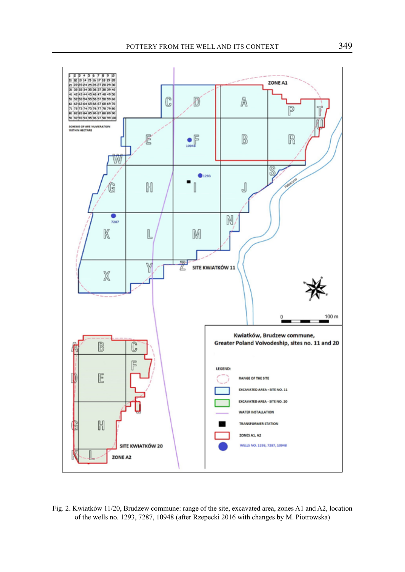

Fig. 2. Kwiatków 11/20, Brudzew commune: range of the site, excavated area, zones A1 and A2, location of the wells no. 1293, 7287, 10948 (after Rzepecki 2016 with changes by M. Piotrowska)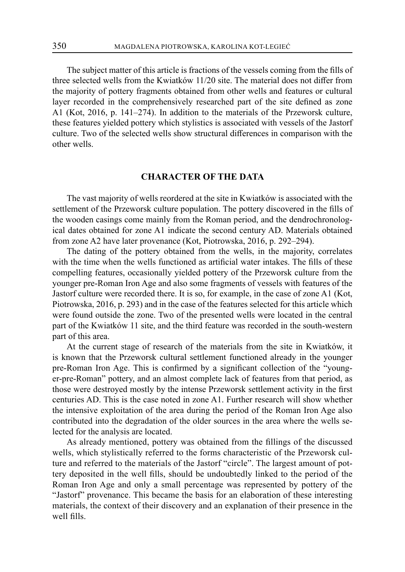The subject matter of this article is fractions of the vessels coming from the fills of three selected wells from the Kwiatków 11/20 site. The material does not differ from the majority of pottery fragments obtained from other wells and features or cultural layer recorded in the comprehensively researched part of the site defined as zone A1 (Kot, 2016, p. 141–274). In addition to the materials of the Przeworsk culture, these features yielded pottery which stylistics is associated with vessels of the Jastorf culture. Two of the selected wells show structural differences in comparison with the other wells.

### **CHARACTER OF THE DATA**

The vast majority of wells reordered at the site in Kwiatków is associated with the settlement of the Przeworsk culture population. The pottery discovered in the fills of the wooden casings come mainly from the Roman period, and the dendrochronological dates obtained for zone A1 indicate the second century AD. Materials obtained from zone A2 have later provenance (Kot, Piotrowska, 2016, p. 292–294).

The dating of the pottery obtained from the wells, in the majority, correlates with the time when the wells functioned as artificial water intakes. The fills of these compelling features, occasionally yielded pottery of the Przeworsk culture from the younger pre-Roman Iron Age and also some fragments of vessels with features of the Jastorf culture were recorded there. It is so, for example, in the case of zone A1 (Kot, Piotrowska, 2016, p. 293) and in the case of the features selected for this article which were found outside the zone. Two of the presented wells were located in the central part of the Kwiatków 11 site, and the third feature was recorded in the south-western part of this area.

At the current stage of research of the materials from the site in Kwiatków, it is known that the Przeworsk cultural settlement functioned already in the younger pre-Roman Iron Age. This is confirmed by a significant collection of the "younger-pre-Roman" pottery, and an almost complete lack of features from that period, as those were destroyed mostly by the intense Przeworsk settlement activity in the first centuries AD. This is the case noted in zone A1. Further research will show whether the intensive exploitation of the area during the period of the Roman Iron Age also contributed into the degradation of the older sources in the area where the wells selected for the analysis are located.

As already mentioned, pottery was obtained from the fillings of the discussed wells, which stylistically referred to the forms characteristic of the Przeworsk culture and referred to the materials of the Jastorf "circle". The largest amount of pottery deposited in the well fills, should be undoubtedly linked to the period of the Roman Iron Age and only a small percentage was represented by pottery of the "Jastorf" provenance. This became the basis for an elaboration of these interesting materials, the context of their discovery and an explanation of their presence in the well fills.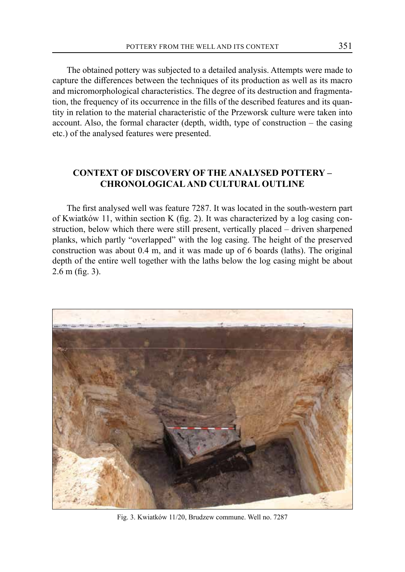The obtained pottery was subjected to a detailed analysis. Attempts were made to capture the differences between the techniques of its production as well as its macro and micromorphological characteristics. The degree of its destruction and fragmentation, the frequency of its occurrence in the fills of the described features and its quantity in relation to the material characteristic of the Przeworsk culture were taken into account. Also, the formal character (depth, width, type of construction – the casing etc.) of the analysed features were presented.

# **CONTEXT OF DISCOVERY OF THE ANALYSED POTTERY – CHRONOLOGICAL AND CULTURAL OUTLINE**

The first analysed well was feature 7287. It was located in the south-western part of Kwiatków 11, within section K (fig. 2). It was characterized by a log casing construction, below which there were still present, vertically placed – driven sharpened planks, which partly "overlapped" with the log casing. The height of the preserved construction was about 0.4 m, and it was made up of 6 boards (laths). The original depth of the entire well together with the laths below the log casing might be about 2.6 m (fig. 3).



Fig. 3. Kwiatków 11/20, Brudzew commune. Well no. 7287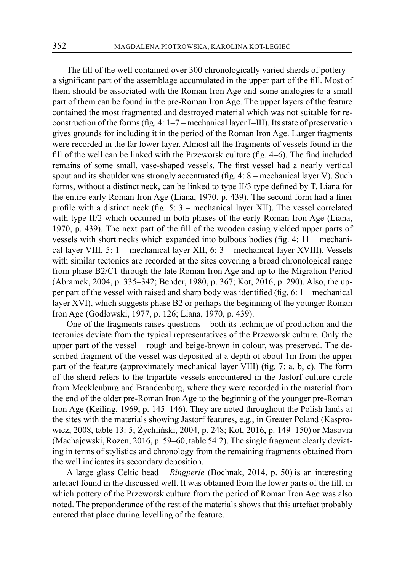The fill of the well contained over 300 chronologically varied sherds of pottery – a significant part of the assemblage accumulated in the upper part of the fill. Most of them should be associated with the Roman Iron Age and some analogies to a small part of them can be found in the pre-Roman Iron Age. The upper layers of the feature contained the most fragmented and destroyed material which was not suitable for reconstruction of the forms (fig. 4: 1–7 – mechanical layer I–III). Its state of preservation gives grounds for including it in the period of the Roman Iron Age. Larger fragments were recorded in the far lower layer. Almost all the fragments of vessels found in the fill of the well can be linked with the Przeworsk culture (fig. 4–6). The find included remains of some small, vase-shaped vessels. The first vessel had a nearly vertical spout and its shoulder was strongly accentuated (fig. 4: 8 – mechanical layer V). Such forms, without a distinct neck, can be linked to type II/3 type defined by T. Liana for the entire early Roman Iron Age (Liana, 1970, p. 439). The second form had a finer profile with a distinct neck (fig. 5: 3 – mechanical layer XII). The vessel correlated with type II/2 which occurred in both phases of the early Roman Iron Age (Liana, 1970, p. 439). The next part of the fill of the wooden casing yielded upper parts of vessels with short necks which expanded into bulbous bodies (fig. 4: 11 – mechanical layer VIII, 5: 1 – mechanical layer XII, 6: 3 – mechanical layer XVIII). Vessels with similar tectonics are recorded at the sites covering a broad chronological range from phase B2/C1 through the late Roman Iron Age and up to the Migration Period (Abramek, 2004, p. 335–342; Bender, 1980, p. 367; Kot, 2016, p. 290). Also, the upper part of the vessel with raised and sharp body was identified (fig. 6: 1 – mechanical layer XVI), which suggests phase B2 or perhaps the beginning of the younger Roman Iron Age (Godłowski, 1977, p. 126; Liana, 1970, p. 439).

One of the fragments raises questions – both its technique of production and the tectonics deviate from the typical representatives of the Przeworsk culture. Only the upper part of the vessel – rough and beige-brown in colour, was preserved. The described fragment of the vessel was deposited at a depth of about 1m from the upper part of the feature (approximately mechanical layer VIII) (fig. 7: a, b, c). The form of the sherd refers to the tripartite vessels encountered in the Jastorf culture circle from Mecklenburg and Brandenburg, where they were recorded in the material from the end of the older pre-Roman Iron Age to the beginning of the younger pre-Roman Iron Age (Keiling, 1969, p. 145–146). They are noted throughout the Polish lands at the sites with the materials showing Jastorf features, e.g., in Greater Poland (Kasprowicz, 2008, table 13: 5; Żychliński, 2004, p. 248; Kot, 2016, p. 149–150) or Masovia (Machajewski, Rozen, 2016, p. 59–60, table 54:2). The single fragment clearly deviating in terms of stylistics and chronology from the remaining fragments obtained from the well indicates its secondary deposition.

A large glass Celtic bead – *Ringperle* (Bochnak, 2014, p. 50) is an interesting artefact found in the discussed well. It was obtained from the lower parts of the fill, in which pottery of the Przeworsk culture from the period of Roman Iron Age was also noted. The preponderance of the rest of the materials shows that this artefact probably entered that place during levelling of the feature.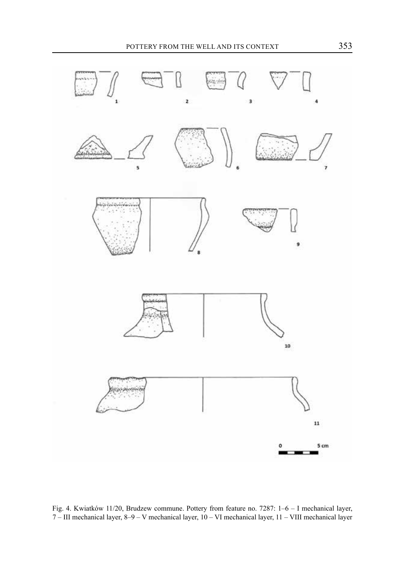

Fig. 4. Kwiatków 11/20, Brudzew commune. Pottery from feature no. 7287: 1–6 – I mechanical layer, 7 – III mechanical layer, 8–9 – V mechanical layer, 10 – VI mechanical layer, 11 – VIII mechanical layer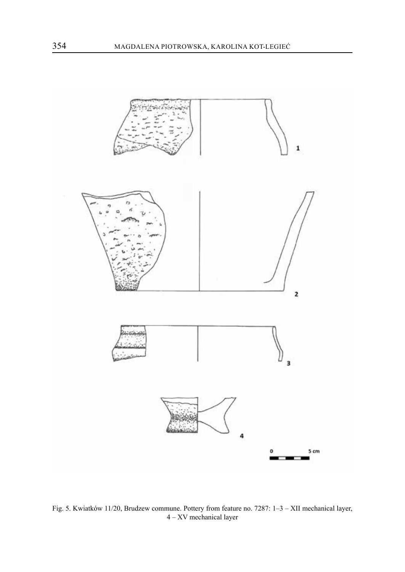

Fig. 5. Kwiatków 11/20, Brudzew commune. Pottery from feature no. 7287: 1–3 – XII mechanical layer, – XV mechanical layer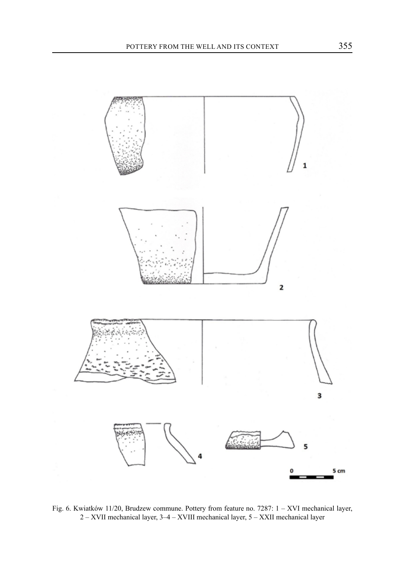

Fig. 6. Kwiatków 11/20, Brudzew commune. Pottery from feature no. 7287: 1 – XVI mechanical layer, 2 – XVII mechanical layer, 3–4 – XVIII mechanical layer, 5 – XXII mechanical layer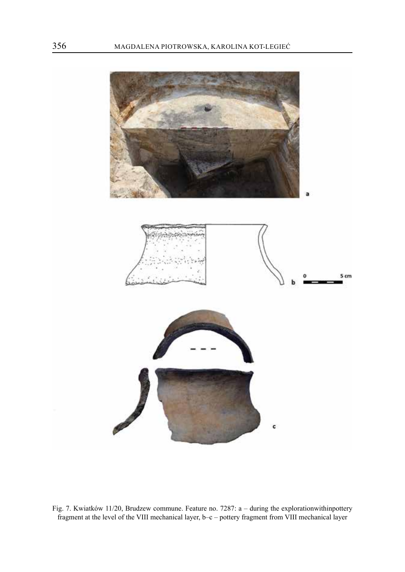

Fig. 7. Kwiatków 11/20, Brudzew commune. Feature no. 7287: a – during the explorationwithinpottery fragment at the level of the VIII mechanical layer, b–c – pottery fragment from VIII mechanical layer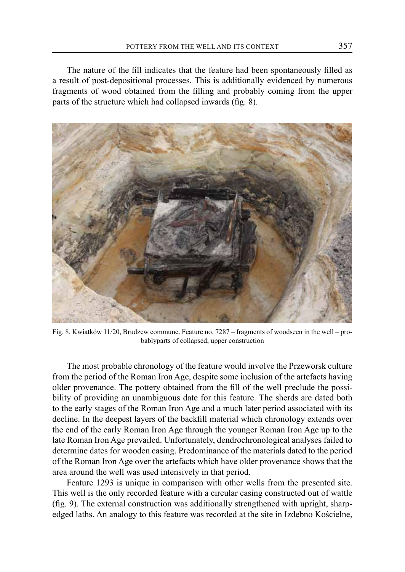The nature of the fill indicates that the feature had been spontaneously filled as a result of post-depositional processes. This is additionally evidenced by numerous fragments of wood obtained from the filling and probably coming from the upper parts of the structure which had collapsed inwards (fig. 8).



Fig. 8. Kwiatków 11/20, Brudzew commune. Feature no. 7287 – fragments of woodseen in the well – probablyparts of collapsed, upper construction

The most probable chronology of the feature would involve the Przeworsk culture from the period of the Roman Iron Age, despite some inclusion of the artefacts having older provenance. The pottery obtained from the fill of the well preclude the possibility of providing an unambiguous date for this feature. The sherds are dated both to the early stages of the Roman Iron Age and a much later period associated with its decline. In the deepest layers of the backfill material which chronology extends over the end of the early Roman Iron Age through the younger Roman Iron Age up to the late Roman Iron Age prevailed. Unfortunately, dendrochronological analyses failed to determine dates for wooden casing. Predominance of the materials dated to the period of the Roman Iron Age over the artefacts which have older provenance shows that the area around the well was used intensively in that period.

Feature 1293 is unique in comparison with other wells from the presented site. This well is the only recorded feature with a circular casing constructed out of wattle (fig. 9). The external construction was additionally strengthened with upright, sharpedged laths. An analogy to this feature was recorded at the site in Izdebno Kościelne,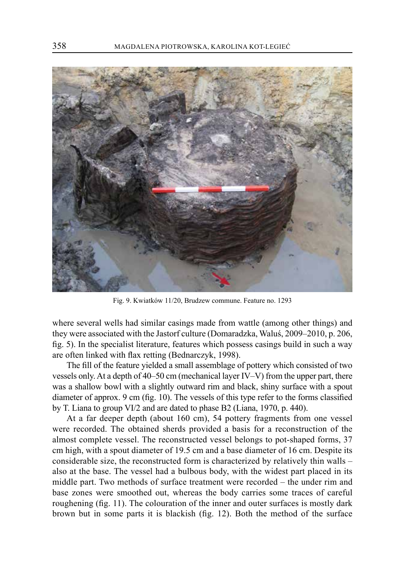

Fig. 9. Kwiatków 11/20, Brudzew commune. Feature no. 1293

where several wells had similar casings made from wattle (among other things) and they were associated with the Jastorf culture (Domaradzka, Waluś, 2009–2010, p. 206, fig. 5). In the specialist literature, features which possess casings build in such a way are often linked with flax retting (Bednarczyk, 1998).

The fill of the feature yielded a small assemblage of pottery which consisted of two vessels only. At a depth of 40–50 cm (mechanical layer IV–V) from the upper part, there was a shallow bowl with a slightly outward rim and black, shiny surface with a spout diameter of approx. 9 cm (fig. 10). The vessels of this type refer to the forms classified by T. Liana to group VI/2 and are dated to phase B2 (Liana, 1970, p. 440).

At a far deeper depth (about 160 cm), 54 pottery fragments from one vessel were recorded. The obtained sherds provided a basis for a reconstruction of the almost complete vessel. The reconstructed vessel belongs to pot-shaped forms, 37 cm high, with a spout diameter of 19.5 cm and a base diameter of 16 cm. Despite its considerable size, the reconstructed form is characterized by relatively thin walls – also at the base. The vessel had a bulbous body, with the widest part placed in its middle part. Two methods of surface treatment were recorded – the under rim and base zones were smoothed out, whereas the body carries some traces of careful roughening (fig. 11). The colouration of the inner and outer surfaces is mostly dark brown but in some parts it is blackish (fig. 12). Both the method of the surface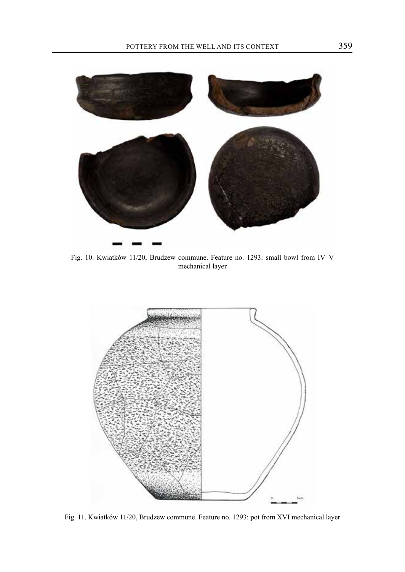

Fig. 10. Kwiatków 11/20, Brudzew commune. Feature no. 1293: small bowl from IV–V mechanical layer



Fig. 11. Kwiatków 11/20, Brudzew commune. Feature no. 1293: pot from XVI mechanical layer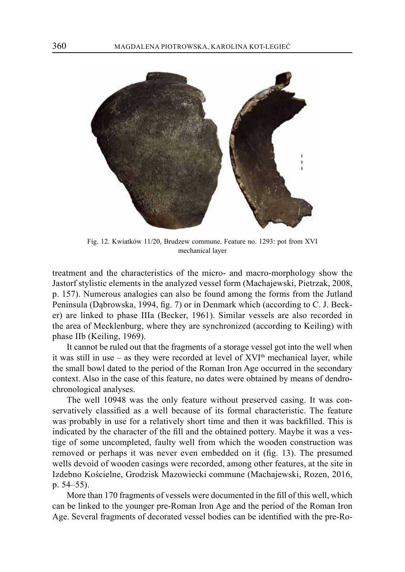

Fig. 12. Kwiatków 11/20, Brudzew commune. Feature no. 1293: pot from XVI mechanical layer

treatment and the characteristics of the micro- and macro-morphology show the Jastorf stylistic elements in the analyzed vessel form (Machajewski, Pietrzak, 2008, p. 157). Numerous analogies can also be found among the forms from the Jutland Peninsula (Dąbrowska, 1994, fig. 7) or in Denmark which (according to C. J. Becker) are linked to phase IIIa (Becker, 1961). Similar vessels are also recorded in the area of Mecklenburg, where they are synchronized (according to Keiling) with phase IIb (Keiling, 1969).

It cannot be ruled out that the fragments of a storage vessel got into the well when it was still in use – as they were recorded at level of  $XVI<sup>th</sup>$  mechanical layer, while the small bowl dated to the period of the Roman Iron Age occurred in the secondary context. Also in the case of this feature, no dates were obtained by means of dendrochronological analyses.

The well 10948 was the only feature without preserved casing. It was conservatively classified as a well because of its formal characteristic. The feature was probably in use for a relatively short time and then it was backfilled. This is indicated by the character of the fill and the obtained pottery. Maybe it was a vestige of some uncompleted, faulty well from which the wooden construction was removed or perhaps it was never even embedded on it (fig. 13). The presumed wells devoid of wooden casings were recorded, among other features, at the site in Izdebno Kościelne, Grodzisk Mazowiecki commune (Machajewski, Rozen, 2016, p. 54–55).

More than 170 fragments of vessels were documented in the fill of this well, which can be linked to the younger pre-Roman Iron Age and the period of the Roman Iron Age. Several fragments of decorated vessel bodies can be identified with the pre-Ro-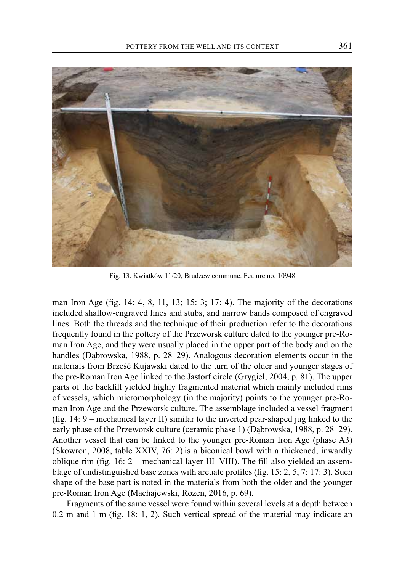

Fig. 13. Kwiatków 11/20, Brudzew commune. Feature no. 10948

man Iron Age (fig.  $14: 4, 8, 11, 13; 15: 3; 17: 4$ ). The majority of the decorations included shallow-engraved lines and stubs, and narrow bands composed of engraved lines. Both the threads and the technique of their production refer to the decorations frequently found in the pottery of the Przeworsk culture dated to the younger pre-Roman Iron Age, and they were usually placed in the upper part of the body and on the handles (Dąbrowska, 1988, p. 28–29). Analogous decoration elements occur in the materials from Brześć Kujawski dated to the turn of the older and younger stages of the pre-Roman Iron Age linked to the Jastorf circle (Grygiel, 2004, p. 81). The upper parts of the backfill yielded highly fragmented material which mainly included rims of vessels, which micromorphology (in the majority) points to the younger pre-Roman Iron Age and the Przeworsk culture. The assemblage included a vessel fragment (fig. 14: 9 – mechanical layer II) similar to the inverted pear-shaped jug linked to the early phase of the Przeworsk culture (ceramic phase 1) (Dąbrowska, 1988, p. 28–29). Another vessel that can be linked to the younger pre-Roman Iron Age (phase A3) (Skowron, 2008, table XXIV, 76: 2) is a biconical bowl with a thickened, inwardly oblique rim (fig. 16: 2 – mechanical layer III–VIII). The fill also yielded an assemblage of undistinguished base zones with arcuate profiles (fig. 15: 2, 5, 7; 17: 3). Such shape of the base part is noted in the materials from both the older and the younger pre-Roman Iron Age (Machajewski, Rozen, 2016, p. 69).

Fragments of the same vessel were found within several levels at a depth between 0.2 m and 1 m (fig. 18: 1, 2). Such vertical spread of the material may indicate an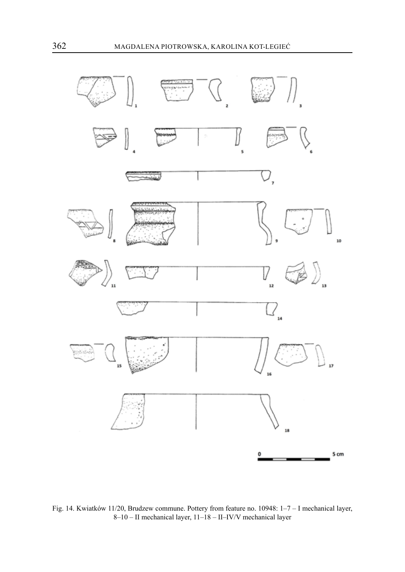

Fig. 14. Kwiatków 11/20, Brudzew commune. Pottery from feature no. 10948: 1–7 – I mechanical layer, 8–10 – II mechanical layer, 11–18 – II–IV/V mechanical layer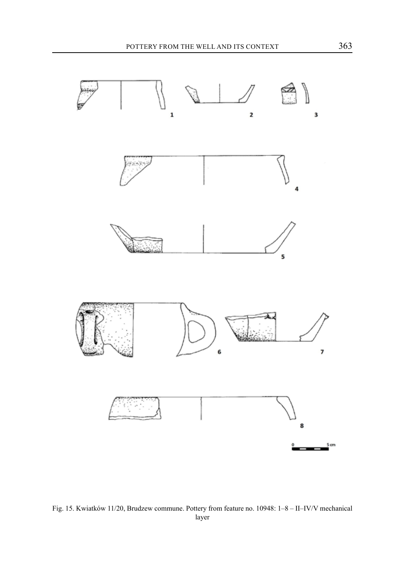

Fig. 15. Kwiatków 11/20, Brudzew commune. Pottery from feature no. 10948: 1–8 – II–IV/V mechanical layer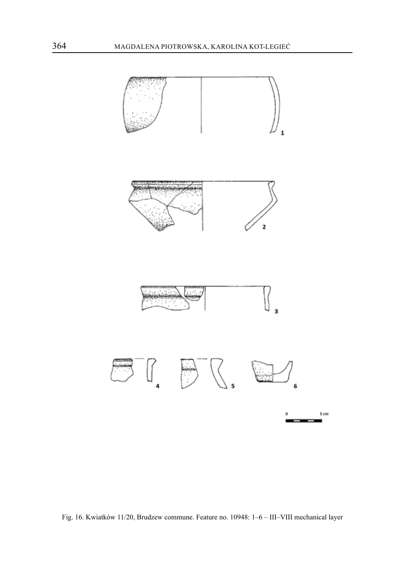

Fig. 16. Kwiatków 11/20, Brudzew commune. Feature no. 10948: 1–6 – III–VIII mechanical layer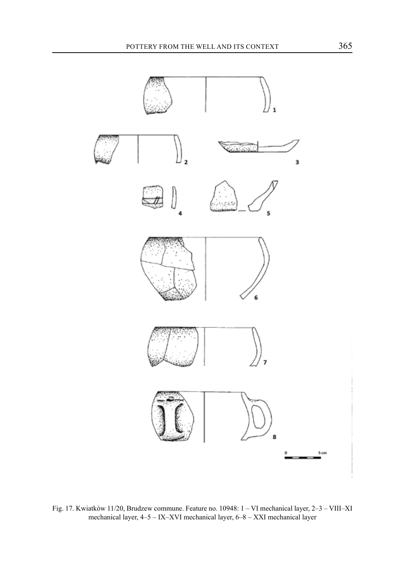

Fig. 17. Kwiatków 11/20, Brudzew commune. Feature no. 10948: 1 – VI mechanical layer, 2–3 – VIII–XI mechanical layer, 4–5 – IX–XVI mechanical layer, 6–8 – XXI mechanical layer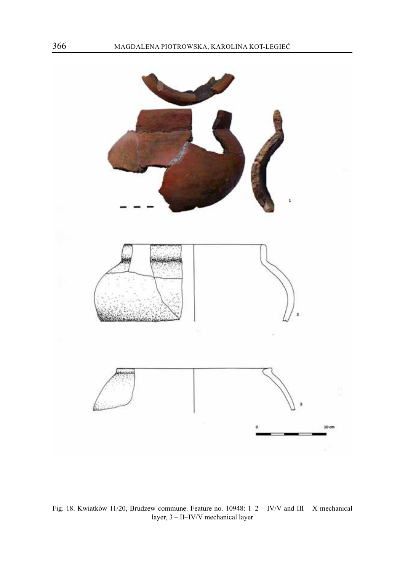

Fig. 18. Kwiatków 11/20, Brudzew commune. Feature no. 10948: 1–2 – IV/V and III – X mechanical layer, 3 – II–IV/V mechanical layer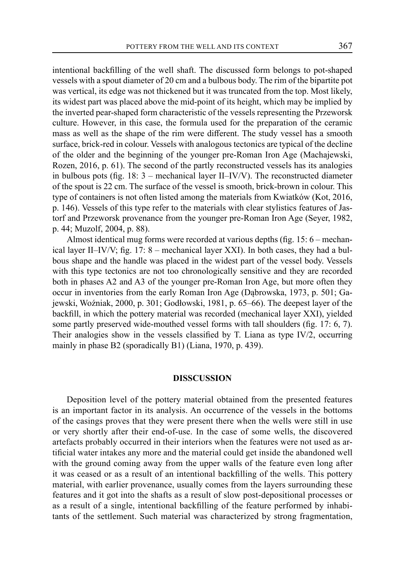intentional backfilling of the well shaft. The discussed form belongs to pot-shaped vessels with a spout diameter of 20 cm and a bulbous body. The rim of the bipartite pot was vertical, its edge was not thickened but it was truncated from the top. Most likely, its widest part was placed above the mid-point of its height, which may be implied by the inverted pear-shaped form characteristic of the vessels representing the Przeworsk culture. However, in this case, the formula used for the preparation of the ceramic mass as well as the shape of the rim were different. The study vessel has a smooth surface, brick-red in colour. Vessels with analogous tectonics are typical of the decline of the older and the beginning of the younger pre-Roman Iron Age (Machajewski, Rozen, 2016, p. 61). The second of the partly reconstructed vessels has its analogies in bulbous pots (fig. 18: 3 – mechanical layer II–IV/V). The reconstructed diameter of the spout is 22 cm. The surface of the vessel is smooth, brick-brown in colour. This type of containers is not often listed among the materials from Kwiatków (Kot, 2016, p. 146). Vessels of this type refer to the materials with clear stylistics features of Jastorf and Przeworsk provenance from the younger pre-Roman Iron Age (Seyer, 1982, p. 44; Muzolf, 2004, p. 88).

Almost identical mug forms were recorded at various depths (fig. 15: 6 – mechanical layer II–IV/V; fig. 17: 8 – mechanical layer XXI). In both cases, they had a bulbous shape and the handle was placed in the widest part of the vessel body. Vessels with this type tectonics are not too chronologically sensitive and they are recorded both in phases A2 and A3 of the younger pre-Roman Iron Age, but more often they occur in inventories from the early Roman Iron Age (Dąbrowska, 1973, p. 501; Gajewski, Woźniak, 2000, p. 301; Godłowski, 1981, p. 65–66). The deepest layer of the backfill, in which the pottery material was recorded (mechanical layer XXI), yielded some partly preserved wide-mouthed vessel forms with tall shoulders (fig. 17: 6, 7). Their analogies show in the vessels classified by T. Liana as type IV/2, occurring mainly in phase B2 (sporadically B1) (Liana, 1970, p. 439).

#### **DISSCUSSION**

Deposition level of the pottery material obtained from the presented features is an important factor in its analysis. An occurrence of the vessels in the bottoms of the casings proves that they were present there when the wells were still in use or very shortly after their end-of-use. In the case of some wells, the discovered artefacts probably occurred in their interiors when the features were not used as artificial water intakes any more and the material could get inside the abandoned well with the ground coming away from the upper walls of the feature even long after it was ceased or as a result of an intentional backfilling of the wells. This pottery material, with earlier provenance, usually comes from the layers surrounding these features and it got into the shafts as a result of slow post-depositional processes or as a result of a single, intentional backfilling of the feature performed by inhabitants of the settlement. Such material was characterized by strong fragmentation,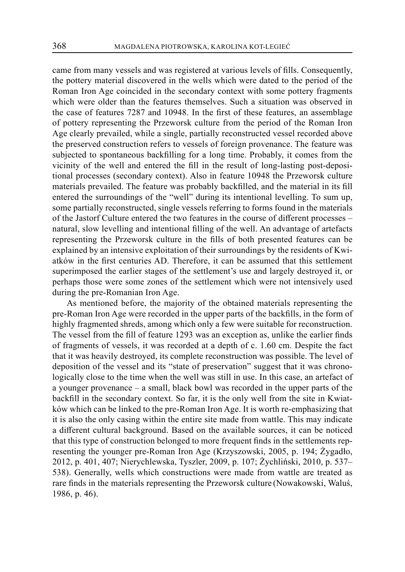came from many vessels and was registered at various levels of fills. Consequently, the pottery material discovered in the wells which were dated to the period of the Roman Iron Age coincided in the secondary context with some pottery fragments which were older than the features themselves. Such a situation was observed in the case of features 7287 and 10948. In the first of these features, an assemblage of pottery representing the Przeworsk culture from the period of the Roman Iron Age clearly prevailed, while a single, partially reconstructed vessel recorded above the preserved construction refers to vessels of foreign provenance. The feature was subjected to spontaneous backfilling for a long time. Probably, it comes from the vicinity of the well and entered the fill in the result of long-lasting post-depositional processes (secondary context). Also in feature 10948 the Przeworsk culture materials prevailed. The feature was probably backfilled, and the material in its fill entered the surroundings of the "well" during its intentional levelling. To sum up, some partially reconstructed, single vessels referring to forms found in the materials of the Jastorf Culture entered the two features in the course of different processes – natural, slow levelling and intentional filling of the well. An advantage of artefacts representing the Przeworsk culture in the fills of both presented features can be explained by an intensive exploitation of their surroundings by the residents of Kwiatków in the first centuries AD. Therefore, it can be assumed that this settlement superimposed the earlier stages of the settlement's use and largely destroyed it, or perhaps those were some zones of the settlement which were not intensively used during the pre-Romanian Iron Age.

As mentioned before, the majority of the obtained materials representing the pre-Roman Iron Age were recorded in the upper parts of the backfills, in the form of highly fragmented shreds, among which only a few were suitable for reconstruction. The vessel from the fill of feature 1293 was an exception as, unlike the earlier finds of fragments of vessels, it was recorded at a depth of c. 1.60 cm. Despite the fact that it was heavily destroyed, its complete reconstruction was possible. The level of deposition of the vessel and its "state of preservation" suggest that it was chronologically close to the time when the well was still in use. In this case, an artefact of a younger provenance – a small, black bowl was recorded in the upper parts of the backfill in the secondary context. So far, it is the only well from the site in Kwiatków which can be linked to the pre-Roman Iron Age. It is worth re-emphasizing that it is also the only casing within the entire site made from wattle. This may indicate a different cultural background. Based on the available sources, it can be noticed that this type of construction belonged to more frequent finds in the settlements representing the younger pre-Roman Iron Age (Krzyszowski, 2005, p. 194; Żygadło, 2012, p. 401, 407; Nierychlewska, Tyszler, 2009, p. 107; Żychliński, 2010, p. 537– 538). Generally, wells which constructions were made from wattle are treated as rare finds in the materials representing the Przeworsk culture (Nowakowski, Waluś, 1986, p. 46).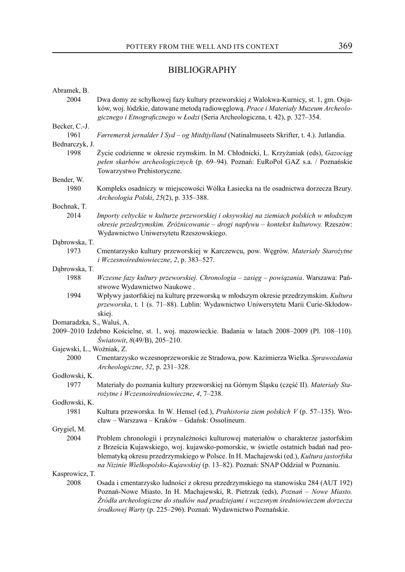## BIBLIOGRAPHY

| Abramek, B.               |                                                                                                 |
|---------------------------|-------------------------------------------------------------------------------------------------|
| 2004                      | Dwa domy ze schyłkowej fazy kultury przeworskiej z Walokwa-Kurnicy, st. 1, gm. Osja-            |
|                           | ków, woj. łódzkie, datowane metodą radioweglową. Prace i Materiały Muzeum Archeolo-             |
|                           | gicznego i Etnograficznego w Łodzi (Seria Archeologiczna, t. 42), p. 327-354.                   |
| Becker, C.-J.             |                                                                                                 |
| 1961                      | Førremersk jernalder I Syd – og Mitdtjylland (Natinalmuseets Skrifter, t. 4.). Jutlandia.       |
| Bednarczyk, J.            |                                                                                                 |
| 1998                      | Życie codzienne w okresie rzymskim. In M. Chłodnicki, L. Krzyżaniak (eds), Gazociąg             |
|                           | pełen skarbów archeologicznych (p. 69-94). Poznań: EuRoPol GAZ s.a. / Poznańskie                |
|                           | Towarzystwo Prehistoryczne.                                                                     |
| Bender, W.                |                                                                                                 |
| 1980                      | Kompleks osadniczy w miejscowości Wólka Łasiecka na tle osadnictwa dorzecza Bzury.              |
|                           | Archeologia Polski, 25(2), p. 335–388.                                                          |
| Bochnak, T.<br>2014       | Importy celtyckie w kulturze przeworskiej i oksywskiej na ziemiach polskich w młodszym          |
|                           | okresie przedrzymskim. Zróżnicowanie – drogi napływu – kontekst kulturowy. Rzeszów:             |
|                           | Wydawnictwo Uniwersytetu Rzeszowskiego.                                                         |
| Dąbrowska, T.             |                                                                                                 |
| 1973                      | Cmentarzysko kultury przeworskiej w Karczewcu, pow. Węgrów. Materiały Starożytne                |
|                           | i Wczesnośredniowieczne, 2, p. 383–527.                                                         |
| Dąbrowska, T.             |                                                                                                 |
| 1988                      | Wczesne fazy kultury przeworskiej. Chronologia – zasięg – powiązania. Warszawa: Pań-            |
|                           | stwowe Wydawnictwo Naukowe.                                                                     |
| 1994                      | Wpływy jastorfskiej na kulturę przeworską w młodszym okresie przedrzymskim. Kultura             |
|                           | przeworska, t. 1 (s. 71-88). Lublin: Wydawnictwo Uniwersytetu Marii Curie-Skłodow-              |
|                           | skiej.                                                                                          |
| Domaradzka, S., Waluś, A. |                                                                                                 |
|                           | 2009-2010 Izdebno Kościelne, st. 1, woj. mazowieckie. Badania w latach 2008-2009 (Pl. 108-110). |
|                           | Światowit, 8(49/B), 205-210.                                                                    |
| Gajewski, L., Woźniak, Z. |                                                                                                 |
| 2000                      | Cmentarzysko wczesnoprzeworskie ze Stradowa, pow. Kazimierza Wielka. Sprawozdania               |
|                           | Archeologiczne, 52, p. 231-328.                                                                 |
| Godłowski, K.<br>1977     | Materiały do poznania kultury przeworskiej na Górnym Śląsku (część II). Materiały Sta-          |
|                           | rożytne i Wczesnośredniowieczne, 4, 7-238.                                                      |
| Godłowski, K.             |                                                                                                 |
| 1981                      | Kultura przeworska. In W. Hensel (ed.), Prahistoria ziem polskich V (p. 57-135). Wro-           |
|                           | cław – Warszawa – Kraków – Gdańsk: Ossolineum.                                                  |
| Grygiel, M.               |                                                                                                 |
| 2004                      | Problem chronologii i przynależności kulturowej materiałów o charakterze jastorfskim            |
|                           | z Brześcia Kujawskiego, woj. kujawsko-pomorskie, w świetle ostatnich badań nad pro-             |
|                           | blematyką okresu przedrzymskiego w Polsce. In H. Machajewski (ed.), Kultura jastorfska          |
|                           | na Nizinie Wielkopolsko-Kujawskiej (p. 13-82). Poznań: SNAP Oddział w Poznaniu.                 |
| Kasprowicz, T.            |                                                                                                 |
| 2008                      | Osada i cmentarzysko ludności z okresu przedrzymskiego na stanowisku 284 (AUT 192)              |
|                           | Poznań-Nowe Miasto. In H. Machajewski, R. Pietrzak (eds), Poznań – Nowe Miasto.                 |
|                           | Źródła archeologiczne do studiów nad pradziejami i wczesnym średniowieczem dorzecza             |
|                           | środkowej Warty (p. 225-296). Poznań: Wydawnictwo Poznańskie.                                   |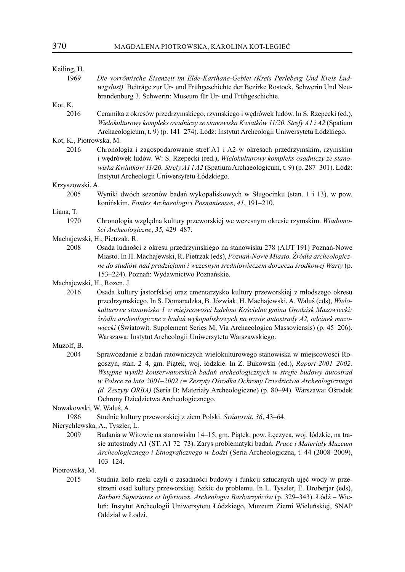| Keiling, H.                |                                                                                                                                                                                                                                                                                                                                                                                                                                                                                                                   |
|----------------------------|-------------------------------------------------------------------------------------------------------------------------------------------------------------------------------------------------------------------------------------------------------------------------------------------------------------------------------------------------------------------------------------------------------------------------------------------------------------------------------------------------------------------|
| 1969                       | Die vorrömische Eisenzeit im Elde-Karthane-Gebiet (Kreis Perleberg Und Kreis Lud-<br>wigslust). Beiträge zur Ur- und Frühgeschichte der Bezirke Rostock, Schwerin Und Neu-<br>brandenburg 3. Schwerin: Museum für Ur- und Frühgeschichte.                                                                                                                                                                                                                                                                         |
| Kot, K.                    |                                                                                                                                                                                                                                                                                                                                                                                                                                                                                                                   |
| 2016                       | Ceramika z okresów przedrzymskiego, rzymskiego i wędrówek ludów. In S. Rzepecki (ed.),<br>Wielokulturowy kompleks osadniczy ze stanowiska Kwiatków 11/20. Strefy A1 i A2 (Spatium<br>Archaeologicum, t. 9) (p. 141-274). Łódź: Instytut Archeologii Uniwersytetu Łódzkiego.                                                                                                                                                                                                                                       |
| Kot, K., Piotrowska, M.    |                                                                                                                                                                                                                                                                                                                                                                                                                                                                                                                   |
| 2016                       | Chronologia i zagospodarowanie stref A1 i A2 w okresach przedrzymskim, rzymskim<br>i wędrówek ludów. W: S. Rzepecki (red.), Wielokulturowy kompleks osadniczy ze stano-<br>wiska Kwiatków 11/20. Strefy A1 i A2 (Spatium Archaeologicum, t. 9) (p. 287-301). Łódź:<br>Instytut Archeologii Uniwersytetu Łódzkiego.                                                                                                                                                                                                |
| Krzyszowski, A.            |                                                                                                                                                                                                                                                                                                                                                                                                                                                                                                                   |
| 2005                       | Wyniki dwóch sezonów badań wykopaliskowych w Sługocinku (stan. 1 i 13), w pow.<br>konińskim. Fontes Archaeologici Posnanienses, 41, 191-210.                                                                                                                                                                                                                                                                                                                                                                      |
| Liana, T.                  |                                                                                                                                                                                                                                                                                                                                                                                                                                                                                                                   |
| 1970                       | Chronologia względna kultury przeworskiej we wczesnym okresie rzymskim. Wiadomo-<br>ści Archeologiczne, 35, 429–487.                                                                                                                                                                                                                                                                                                                                                                                              |
|                            | Machajewski, H., Pietrzak, R.                                                                                                                                                                                                                                                                                                                                                                                                                                                                                     |
| 2008                       | Osada ludności z okresu przedrzymskiego na stanowisku 278 (AUT 191) Poznań-Nowe<br>Miasto. In H. Machajewski, R. Pietrzak (eds), Poznań-Nowe Miasto. Źródła archeologicz-<br>ne do studiów nad pradziejami i wczesnym średniowieczem dorzecza środkowej Warty (p.<br>153-224). Poznań: Wydawnictwo Poznańskie.                                                                                                                                                                                                    |
| Machajewski, H., Rozen, J. |                                                                                                                                                                                                                                                                                                                                                                                                                                                                                                                   |
| 2016                       | Osada kultury jastorfskiej oraz cmentarzysko kultury przeworskiej z młodszego okresu<br>przedrzymskiego. In S. Domaradzka, B. Józwiak, H. Machajewski, A. Waluś (eds), Wielo-<br>kulturowe stanowisko 1 w miejscowości Izdebno Kościelne gmina Grodzisk Mazowiecki:<br>źródła archeologiczne z badań wykopaliskowych na trasie autostrady A2, odcinek mazo-<br>wiecki (Światowit. Supplement Series M, Via Archaeologica Massoviensis) (p. 45–206).<br>Warszawa: Instytut Archeologii Uniwersytetu Warszawskiego. |
| Muzolf, B.                 |                                                                                                                                                                                                                                                                                                                                                                                                                                                                                                                   |
| 2004                       | Sprawozdanie z badań ratowniczych wielokulturowego stanowiska w miejscowości Ro-<br>goszyn, stan. 2-4, gm. Piątek, woj. łódzkie. In Z. Bukowski (ed.), Raport 2001-2002.<br>Wstępne wyniki konserwatorskich badań archeologicznych w strefie budowy autostrad<br>w Polsce za lata 2001-2002 (= Zeszyty Ośrodka Ochrony Dziedzictwa Archeologicznego<br>(d. Zeszyty ORBA) (Seria B: Materiały Archeologiczne) (p. 80-94). Warszawa: Ośrodek<br>Ochrony Dziedzictwa Archeologicznego.                               |
| Nowakowski, W. Waluś, A.   |                                                                                                                                                                                                                                                                                                                                                                                                                                                                                                                   |
| 1986                       | Studnie kultury przeworskiej z ziem Polski. Światowit, 36, 43–64.                                                                                                                                                                                                                                                                                                                                                                                                                                                 |
|                            | Nierychlewska, A., Tyszler, L.                                                                                                                                                                                                                                                                                                                                                                                                                                                                                    |
| 2009                       | Badania w Witowie na stanowisku 14-15, gm. Piątek, pow. Łęczyca, woj. łódzkie, na tra-<br>sie autostrady A1 (ST. A1 72-73). Zarys problematyki badań. Prace i Materiały Muzeum<br>Archeologicznego i Etnograficznego w Łodzi (Seria Archeologiczna, t. 44 (2008-2009),<br>$103 - 124.$                                                                                                                                                                                                                            |
| Piotrowska, M.             |                                                                                                                                                                                                                                                                                                                                                                                                                                                                                                                   |
| 2015                       | Studnia koło rzeki czyli o zasadności budowy i funkcji sztucznych ujęć wody w prze-<br>strzeni osad kultury przeworskiej. Szkic do problemu. In L. Tyszler, E. Droberjar (eds),<br>Barbari Superiores et Inferiores. Archeologia Barbarzyńców (p. 329–343). Łódź – Wie-<br>luń: Instytut Archeologii Uniwersytetu Łódzkiego, Muzeum Ziemi Wieluńskiej, SNAP<br>Oddział w Łodzi.                                                                                                                                   |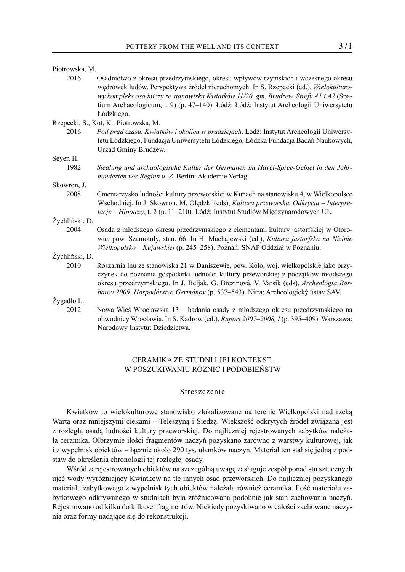| Piotrowska, M.                        |                                                                                                                                                                                                                                                                                                                                                            |  |
|---------------------------------------|------------------------------------------------------------------------------------------------------------------------------------------------------------------------------------------------------------------------------------------------------------------------------------------------------------------------------------------------------------|--|
| 2016                                  | Osadnictwo z okresu przedrzymskiego, okresu wpływów rzymskich i wczesnego okresu<br>wędrówek ludów. Perspektywa źródeł nieruchomych. In S. Rzepecki (ed.), Wielokulturo-<br>wy kompleks osadniczy ze stanowiska Kwiatków 11/20, gm. Brudzew. Strefy A1 i A2 (Spa-<br>tium Archaeologicum, t. 9) (p. 47-140). Łódź: Łódź: Instytut Archeologii Uniwersytetu |  |
|                                       | Łódzkiego.                                                                                                                                                                                                                                                                                                                                                 |  |
| Rzepecki, S., Kot, K., Piotrowska, M. |                                                                                                                                                                                                                                                                                                                                                            |  |
| 2016                                  | Pod prąd czasu. Kwiatków i okolica w pradziejach. Łódź: Instytut Archeologii Uniwersy-                                                                                                                                                                                                                                                                     |  |
|                                       | tetu Łódzkiego, Fundacja Uniwersytetu Łódzkiego, Łódzka Fundacja Badań Naukowych,<br>Urząd Gminy Brudzew.                                                                                                                                                                                                                                                  |  |
| Seyer, H.                             |                                                                                                                                                                                                                                                                                                                                                            |  |
| 1982                                  | Siedlung und archaologische Kultur der Germanen im Havel-Spree-Gebiet in den Jahr-<br>hunderten vor Beginn u. Z. Berlin: Akademie Verlag.                                                                                                                                                                                                                  |  |
| Skowron, J.                           |                                                                                                                                                                                                                                                                                                                                                            |  |
| 2008                                  | Cmentarzysko ludności kultury przeworskiej w Kunach na stanowisku 4, w Wielkopolsce<br>Wschodniej. In J. Skowron, M. Olędzki (eds), Kultura przeworska. Odkrycia – Interpre-<br>tacje - Hipotezy, t. 2 (p. 11-210). Łódź: Instytut Studiów Międzynarodowych UŁ.                                                                                            |  |
| Żychliński, D.                        |                                                                                                                                                                                                                                                                                                                                                            |  |
| 2004                                  | Osada z młodszego okresu przedrzymskiego z elementami kultury jastorfskiej w Otoro-<br>wie, pow. Szamotuły, stan. 66. In H. Machajewski (ed.), Kultura jastorfska na Nizinie<br>Wielkopolsko - Kujawskiej (p. 245-258). Poznań: SNAP Oddział w Poznaniu.                                                                                                   |  |
| Zychliński, D.                        |                                                                                                                                                                                                                                                                                                                                                            |  |
| 2010                                  | Roszarnia lnu ze stanowiska 21 w Daniszewie, pow. Koło, woj. wielkopolskie jako przy-<br>czynek do poznania gospodarki ludności kultury przeworskiej z początków młodszego<br>okresu przedrzymskiego. In J. Beljak, G. Březinová, V. Varsik (eds), Archeológia Bar-<br>barov 2009. Hospodárstvo Germánov (p. 537–543). Nitra: Archeologický ústav SAV.     |  |
| Żygadło L.                            |                                                                                                                                                                                                                                                                                                                                                            |  |
| 2012                                  | Nowa Wieś Wrocławska 13 – badania osady z młodszego okresu przedrzymskiego na<br>obwodnicy Wrocławia. In S. Kadrow (ed.), Raport 2007-2008, I (p. 395-409). Warszawa:<br>Narodowy Instytut Dziedzictwa.                                                                                                                                                    |  |

### CERAMIKA ZE STUDNI I JEJ KONTEKST. W POSZUKIWANIU RÓŻNIC I PODOBIEŃSTW

### Streszczenie

Kwiatków to wielokulturowe stanowisko zlokalizowane na terenie Wielkopolski nad rzeką Wartą oraz mniejszymi ciekami – Teleszyną i Siedzą. Większość odkrytych źródeł związana jest z rozległą osadą ludności kultury przeworskiej. Do najliczniej rejestrowanych zabytków należała ceramika. Olbrzymie ilości fragmentów naczyń pozyskano zarówno z warstwy kulturowej, jak i z wypełnisk obiektów – łącznie około 290 tys. ułamków naczyń. Materiał ten stał się jedną z podstaw do określenia chronologii tej rozległej osady.

Wśród zarejestrowanych obiektów na szczególną uwagę zasługuje zespół ponad stu sztucznych ujęć wody wyróżniający Kwiatków na tle innych osad przeworskich. Do najliczniej pozyskanego materiału zabytkowego z wypełnisk tych obiektów należała również ceramika. Ilość materiału zabytkowego odkrywanego w studniach była zróżnicowana podobnie jak stan zachowania naczyń. Rejestrowano od kilku do kilkuset fragmentów. Niekiedy pozyskiwano w całości zachowane naczynia oraz formy nadające się do rekonstrukcji.